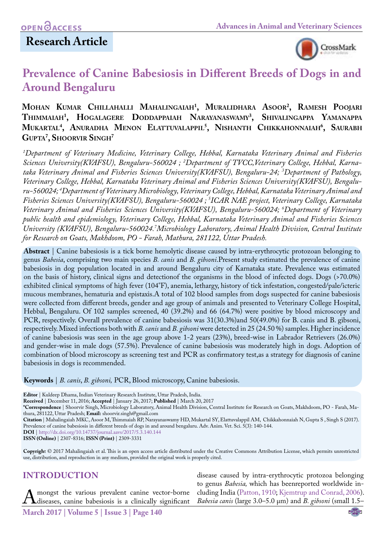# **Research Article**



# **Prevalence of Canine Babesiosis in Different Breeds of Dogs in and Around Bengaluru**

### **Mohan Kumar Chillahalli Mahalingaiah1 , Muralidhara Asoor2 , Ramesh Poojari Thimmaiah1 , Hogalagere Doddappaiah Narayanaswamy3 , Shivalingappa Yamanappa Mukartal4 , Anuradha Menon Elattuvalappil5 , Nishanth Chikkahonnaiah6 , Saurabh Gupta7 , Shoorvir Singh7**

*1 Department of Veterinary Medicine, Veterinary College, Hebbal, Karnataka Veterinary Animal and Fisheries Sciences University(KVAFSU), Bengaluru-560024 ; 2 Department of TVCC,Veterinary College, Hebbal, Karnataka Veterinary Animal and Fisheries Sciences University(KVAFSU), Bengaluru-24; 3 Department of Pathology, Veterinary College, Hebbal, Karnataka Veterinary Animal and Fisheries Sciences University(KVAFSU), Bengaluru-560024; 4 Department of Veterinary Microbiology, Veterinary College, Hebbal, Karnataka Veterinary Animal and Fisheries Sciences University(KVAFSU), Bengaluru-560024 ; 5 ICAR NAE project, Veterinary College, Karnataka Veterinary Animal and Fisheries Sciences University(KVAFSU), Bengaluru-560024; 6 Department of Veterinary public health and epidemiology, Veterinary College, Hebbal, Karnataka Veterinary Animal and Fisheries Sciences University (KVAFSU), Bengaluru-560024.7 Microbiology Laboratory, Animal Health Division, Central Institute for Research on Goats, Makhdoom, PO - Farah, Mathura, 281122, Uttar Pradesh.*

**Abstract** | Canine babesiosis is a tick borne hemolytic disease caused by intra-erythrocytic protozoan belonging to genus *Babesia*, comprising two main species *B. canis* and *B. gibsoni*.Present study estimated the prevalence of canine babesiosis in dog population located in and around Bengaluru city of Karnataka state. Prevalence was estimated on the basis of history, clinical signs and detectionof the organisms in the blood of infected dogs. Dogs (>70.0%) exhibited clinical symptoms of high fever (104°F), anemia, lethargy, history of tick infestation, congested/pale/icteric mucous membranes, hematuria and epistaxis.A total of 102 blood samples from dogs suspected for canine babesiosis were collected from different breeds, gender and age group of animals and presented to Veterinary College Hospital, Hebbal, Bengaluru. Of 102 samples screened, 40 (39.2%) and 66 (64.7%) were positive by blood microscopy and PCR, respectively. Overall prevalence of canine babesiosis was 31(30.3%)and 50(49.0%) for B. canis and B. gibsoni, respectively. Mixed infections both with *B. canis* and *B. gibsoni* were detected in 25 (24.50 %) samples. Higher incidence of canine babesiosis was seen in the age group above 1-2 years (23%), breed-wise in Labrador Retrievers (26.0%) and gender-wise in male dogs (57.5%). Prevalence of canine babesiosis was moderately high in dogs. Adoption of combination of blood microscopy as screening test and PCR as confirmatory test,as a strategy for diagnosis of canine babesiosis in dogs is recommended.

**Keywords** | *B. canis*, *B. gibsoni,* PCR, Blood microscopy, Canine babesiosis.

**Editor** | Kuldeep Dhama, Indian Veterinary Research Institute, Uttar Pradesh, India.

**Received** | December 11, 2016; **Accepted** | January 26, 2017; **Published** | March 20, 2017

**\*Correspondence** | Shoorvir Singh, Microbiology Laboratory, Animal Health Division, Central Institute for Research on Goats, Makhdoom, PO - Farah, Mathura, 281122, Uttar Pradesh; **Email:** shoorvir.singh@gmail.com

**Citation** | Mahalingaiah MKC, Asoor M, Thimmaiah RP, Narayanaswamy HD, Mukartal SY, Elattuvalappil AM, Chikkahonnaiah N, Gupta S , Singh S (2017). Prevalence of canine babesiosis in different breeds of dogs in and around bengaluru. Adv. Anim. Vet. Sci. 5(3): 140-144.

**DOI** | <http://dx.doi.org/10.14737/journal.aavs/2017/5.3.140.144> **ISSN (Online)** | 2307-8316; **ISSN (Print)** | 2309-3331

**Copyrigh**t © 2017 Mahalingaiah et al. This is an open access article distributed under the Creative Commons Attribution License, which permits unrestricted use, distribution, and reproduction in any medium, provided the original work is properly cited.

# **INTRODUCTION**

Amongst the various prevalent canine vector-borne<br>Maria 2017 | V 1 - 5 | J - 2 | D - 140

disease caused by intra-erythrocytic protozoa belonging to genus *Babesia,* which has beenreported worldwide including India [\(Patton, 1910](#page-4-0); [Kjemtrup and Conrad, 2006](#page-4-1)). *Babesia canis* (large 3.0–5.0 μm) and *B. gibsoni* (small 1.5–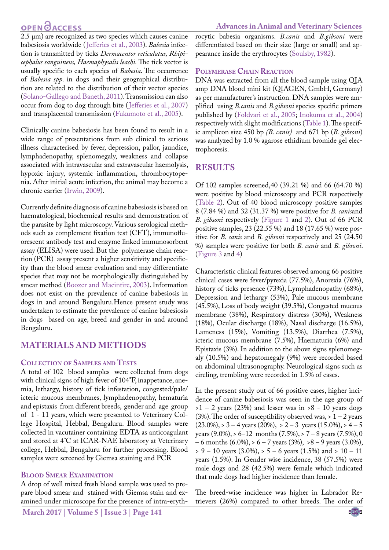# **OPEN OACCESS**

2.5 μm) are recognized as two species which causes canine babesiosis worldwide ([Jefferies et al., 2003\)](#page-4-2). *Babesia* infection is transmitted by ticks *Dermacentor reticulatus, Rhipicephalus sanguineus, Haemaphysalis leachi.* The tick vector is usually specific to each species of *Babesia*. The occurrence of *Babesia spp*. in dogs and their geographical distribution are related to the distribution of their vector species [\(Solano-Gallego and Baneth, 2011\)](#page-4-3). Transmission can also occur from dog to dog through bite ([Jefferies et al., 2007](#page-4-4)) and transplacental transmission ([Fukumoto et al., 2005\)](#page-3-0).

Clinically canine babesiosis has been found to result in a wide range of presentations from sub clinical to serious illness characterised by fever, depression, pallor, jaundice, lymphadenopathy, splenomegaly, weakness and collapse associated with intravascular and extravascular haemolysis, hypoxic injury, systemic inflammation, thrombocytopenia. After initial acute infection, the animal may become a chronic carrier [\(Irwin, 2009](#page-4-5)).

Currently definite diagnosis of canine babesiosis is based on haematological, biochemical results and demonstration of the parasite by light microscopy. Various serological methods such as complement fixation test (CFT), immunofluorescent antibody test and enzyme linked immunosorbent assay (ELISA) were used. But the polymerase chain reaction (PCR) assay present a higher sensitivity and specificity than the blood smear evaluation and may differentiate species that may not be morphologically distinguished by smear method [\(Boozer and Macintire, 2003](#page-3-1)). Information does not exist on the prevalence of canine babesiosis in dogs in and around Bengaluru.Hence present study was undertaken to estimate the prevalence of canine babesiosis in dogs based on age, breed and gender in and around Bengaluru.

### **MATERIALS AND METHODS**

#### **Collection of Samples and Tests**

A total of 102 blood samples were collected from dogs with clinical signs of high fever of 104°F, inappetance, anemia, lethargy, history of tick infestation, congested/pale/ icteric mucous membranes, lymphadenopathy, hematuria and epistaxis from different breeds, gender and age group of 1 - 11 years, which were presented to Veterinary College Hospital, Hebbal, Bengaluru. Blood samples were collected in vacutainer containing EDTA as anticoagulant and stored at 4°C at ICAR-NAE laboratory at Veterinary college, Hebbal, Bengaluru for further processing. Blood samples were screened by Giemsa staining and PCR

#### **Blood Smear Examination**

A drop of well mixed fresh blood sample was used to prepare blood smear and stained with Giemsa stain and examined under microscope for the presence of intra-erythrocytic babesia organisms. *B.canis* and *B.gibsoni* were differentiated based on their size (large or small) and appearance inside the erythrocytes ([Soulsby, 1982\)](#page-4-6).

#### **Polymerase Chain Reaction**

DNA was extracted from all the blood sample using QIA amp DNA blood mini kit (QIAGEN, GmbH, Germany) as per manufacturer's instruction. DNA samples were amplified using *B.canis* and *B.gibsoni* species specific primers published by ([Foldvari et al., 2005](#page-3-2); [Inokuma et al., 2004](#page-3-3)) respectively with slight modifications ([Table 1](#page-3-4)). The specific amplicon size 450 bp *(B. canis)* and 671 bp (*B. gibsoni*) was analyzed by 1.0 % agarose ethidium bromide gel electrophoresis.

### **RESULTS**

Of 102 samples screened,40 (39.21 %) and 66 (64.70 %) were positive by blood microscopy and PCR respectively ([Table 2](#page-3-5)). Out of 40 blood microscopy positive samples 8 (7.84 %) and 32 (31.37 %) were positive for *B. canis*and *B. gibsoni* respectively ([Figure 1](#page-2-0) and [2](#page-2-1)). Out of 66 PCR positive samples, 23 (22.55 %) and 18 (17.65 %) were positive for *B. canis* and *B. gibsoni* respectively and 25 (24.50 %) samples were positive for both *B. canis* and *B. gibsoni*. ([Figure 3](#page-2-2) and [4](#page-2-3))

Characteristic clinical features observed among 66 positive clinical cases were fever/pyrexia (77.5%), Anorexia (76%), history of ticks presence (73%), Lymphadenopathy (68%), Depression and lethargy (53%), Pale mucous membrane (45.5%), Loss of body weight (39.5%), Congested mucous membrane (38%), Respiratory distress (30%), Weakness (18%), Ocular discharge (18%), Nasal discharge (16.5%), Lameness (15%), Vomiting (13.5%), Diarrhea (7.5%), icteric mucous membrane (7.5%), Haematuria (6%) and Epistaxis (3%). In addition to the above signs splenomegaly (10.5%) and hepatomegaly (9%) were recorded based on abdominal ultrasonography. Neurological signs such as circling, trembling were recorded in 1.5% of cases.

In the present study out of 66 positive cases, higher incidence of canine babesiosis was seen in the age group of  $>1$  – 2 years (23%) and lesser was in  $>8$  - 10 years dogs (3%). The order of susceptibility observed was,  $> 1 - 2$  years  $(23.0\%),$  > 3 – 4 years  $(20\%),$  > 2 – 3 years  $(15.0\%),$  > 4 – 5 years  $(9.0\%)$ , > 6–12 months  $(7.5\%)$ , > 7 – 8 years  $(7.5\%)$ , 0  $-6$  months  $(6.0\%)$ ,  $> 6 - 7$  years  $(3\%)$ ,  $> 8 - 9$  years  $(3.0\%)$ ,  $> 9 - 10$  years (3.0%),  $> 5 - 6$  years (1.5%) and  $> 10 - 11$ years (1.5%). In Gender wise incidence, 38 (57.5%) were male dogs and 28 (42.5%) were female which indicated that male dogs had higher incidence than female.

The breed-wise incidence was higher in Labrador Retrievers (26%) compared to other breeds. The order of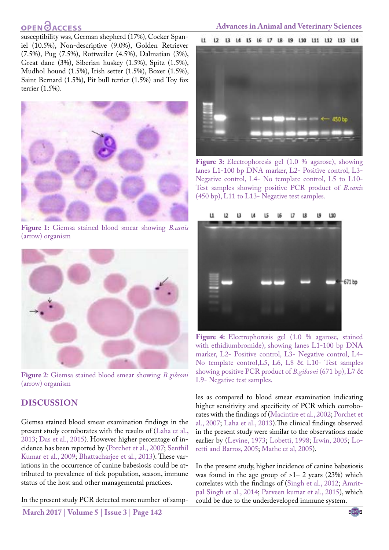# **OPENOACCESS**

susceptibility was, German shepherd (17%), Cocker Spaniel (10.5%), Non-descriptive (9.0%), Golden Retriever (7.5%), Pug (7.5%), Rottweiler (4.5%), Dalmatian (3%), Great dane (3%), Siberian huskey (1.5%), Spitz (1.5%), Mudhol hound (1.5%), Irish setter (1.5%), Boxer (1.5%), Saint Bernard (1.5%), Pit bull terrier (1.5%) and Toy fox terrier (1.5%).



**Figure 1:** Giemsa stained blood smear showing *B.canis*  (arrow) organism

<span id="page-2-0"></span>

**Figure 2**: Giemsa stained blood smear showing *B.gibsoni*  (arrow) organism

### <span id="page-2-1"></span>**DISCUSSION**

Giemsa stained blood smear examination findings in the present study corroborates with the results of ([Laha et al.,](#page-4-7) [2013](#page-4-7); [Das et al., 2015](#page-3-6)). However higher percentage of incidence has been reported by ([Porchet et al., 2007](#page-4-8); [Senthil](#page-4-9) [Kumar et al., 2009](#page-4-9); [Bhattacharjee et al., 2013\)](#page-3-7). These variations in the occurrence of canine babesiosis could be attributed to prevalence of tick population, season, immune status of the host and other managemental practices.

In the present study PCR detected more number of samp-

**March 2017 | Volume 5 | Issue 3 | Page 142**

### **Advances in Animal and Veterinary Sciences**



**Figure 3:** Electrophoresis gel (1.0 % agarose), showing lanes L1-100 bp DNA marker, L2- Positive control, L3- Negative control, L4- No template control, L5 to L10- Test samples showing positive PCR product of *B.canis* (450 bp), L11 to L13- Negative test samples.

<span id="page-2-2"></span>

**Figure 4:** Electrophoresis gel (1.0 % agarose, stained with ethidiumbromide), showing lanes L1-100 bp DNA marker, L2- Positive control, L3- Negative control, L4- No template control,L5, L6, L8 & L10- Test samples showing positive PCR product of *B.gibsoni* (671 bp), L7 & L9- Negative test samples.

<span id="page-2-3"></span>les as compared to blood smear examination indicating higher sensitivity and specificity of PCR which corroborates with the findings of ([Macintire et al., 2002](#page-4-10); [Porchet et](#page-4-8)  [al., 2007](#page-4-8); [Laha et al., 2013](#page-4-7)).The clinical findings observed in the present study were similar to the observations made earlier by [\(Levine, 1973;](#page-4-11) [Lobetti, 1998](#page-4-12)[; Irwin, 2005;](#page-3-8) [Lo](#page-4-13)[retti and Barros, 2005](#page-4-13); [Mathe et al, 2005](#page-4-14)).

In the present study, higher incidence of canine babesiosis was found in the age group of  $>1-2$  years (23%) which correlates with the findings of ([Singh et al., 2012](#page-4-15); [Amrit](#page-3-9)[pal Singh et al., 2014;](#page-3-9) [Parveen kumar et al., 2015\)](#page-4-16), which could be due to the underdeveloped immune system.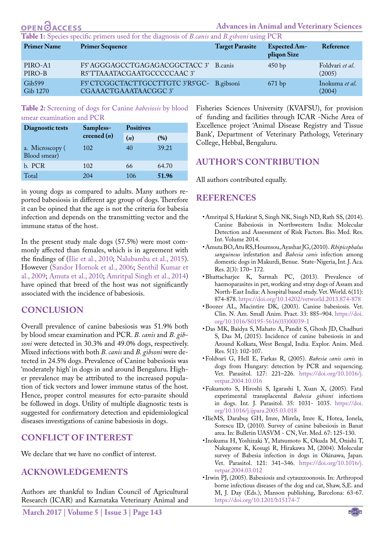<span id="page-3-4"></span>

| <b>OPEN</b> OACCESS                                                                         |                                                                     |                        | <b>Advances in Animal and Veterinary Sciences</b> |                           |  |  |
|---------------------------------------------------------------------------------------------|---------------------------------------------------------------------|------------------------|---------------------------------------------------|---------------------------|--|--|
| Table 1: Species specific primers used for the diagnosis of B.canis and B.gibsoni using PCR |                                                                     |                        |                                                   |                           |  |  |
| <b>Primer Name</b>                                                                          | <b>Primer Sequence</b>                                              | <b>Target Parasite</b> | <b>Expected Am-</b><br>pliqon Size                | Reference                 |  |  |
| PIRO-A1<br>PIRO-B                                                                           | F5' AGGGAGCCTGAGAGACGGCTACC 3'<br>R5'TTAAATACGAATGCCCCCAAC 3'       | B.canis                | 450bp                                             | Foldvari et al.<br>(2005) |  |  |
| Gib599<br>Gib 1270                                                                          | F5' CTCGGCTACTTGCCTTGTC 3'R5'GC- B.gibsoni<br>CGAAACTGAAATAACGGC 3' |                        | 671bp                                             | Inokuma et al.<br>(2004)  |  |  |
|                                                                                             |                                                                     |                        |                                                   |                           |  |  |

**Table 2:** Screening of dogs for Canine *babesiosis* by blood smear examination and PCR

| Diagnostic tests                | Sampless-     | <b>Positives</b> |       |  |
|---------------------------------|---------------|------------------|-------|--|
|                                 | creened $(n)$ | (n)              | (%)   |  |
| a. Microscopy (<br>Blood smear) | 102           | 40               | 39.21 |  |
| b. PCR                          | 102           | 66               | 64.70 |  |
| Total                           | 204           | 106              | 51.96 |  |

in young dogs as compared to adults. Many authors reported babesiosis in different age group of dogs. Therefore it can be opined that the age is not the criteria for babesia infection and depends on the transmitting vector and the immune status of the host.

In the present study male dogs (57.5%) were most commonly affected than females, which is in agreement with the findings of (Ilie et al., 2010[; Nalubamba et al., 2015](#page-4-17)). However ([Sandor Hornok et al., 2006](#page-4-18); [Senthil Kumar et](#page-4-9) [al., 2009;](#page-4-9) [Amuta et al., 2010;](#page-3-10) [Amritpal Singh et al., 2014](#page-3-9)) have opined that breed of the host was not significantly associated with the incidence of babesiosis.

#### **CONCLUSION**

Overall prevalence of canine babesiosis was 51.9% both by blood smear examination and PCR. *B. canis* and *B. gibsoni* were detected in 30.3% and 49.0% dogs, respectively. Mixed infections with both *B. canis* and *B. gibsoni* were detected in 24.5% dogs. Prevalence of Canine babesiosis was 'moderately high' in dogs in and around Bengaluru. Higher prevalence may be attributed to the increased population of tick vectors and lower immune status of the host. Hence, proper control measures for ecto-parasite should be followed in dogs. Utility of multiple diagnostic tests is suggested for confirmatory detection and epidemiological diseases investigations of canine babesiosis in dogs.

### **Conflict of interest**

We declare that we have no conflict of interest.

### **Acknowledgements**

Authors are thankful to Indian Council of Agricultural Research (ICAR) and Karnataka Veterinary Animal and

<span id="page-3-5"></span>Fisheries Sciences University (KVAFSU), for provision of funding and facilities through ICAR -Niche Area of Excellence project 'Animal Disease Registry and Tissue Bank', Department of Veterinary Pathology, Veterinary College, Hebbal, Bengaluru.

#### **AUTHOR'S CONTRIBUTION**

All authors contributed equally.

### **REFERENCES**

- <span id="page-3-9"></span>• Amritpal S, Harkirat S, Singh NK, Singh ND, Rath SS, (2014). Canine Babesiosis in Northwestern India: Molecular Detection and Assessment of Risk Factors. Bio. Med. Res. Int. Volume 2014.
- <span id="page-3-10"></span>• Amuta BO, Atu RS, Houmsou, Ayashar JG, (2010). *Rhipicephalus sanguineus* infestation and *Babesia canis* infection among domestic dogs in Makurdi, Benue. State-Nigeria, Int. J. Aca. Res. 2(3): 170– 172.
- <span id="page-3-7"></span>• Bhattacharjee K, Sarmah PC, (2013). Prevalence of haemoparasites in pet, working and stray dogs of Assam and North-East India: A hospital based study. Vet. World. 6(11): 874-878[. https://doi.org/10.14202/vetworld.2013.874-878]( https://doi.org/10.14202/vetworld.2013.874-878 )
- <span id="page-3-1"></span>• Boozer AL, Macintire DK, (2003). Canine babesiosis. Vet. Clin. N. Am. Small Anim. Pract. 33: 885–904. [https://doi.](https://doi.org/10.1016/S0195-5616(03)00039-1 ) [org/10.1016/S0195-5616\(03\)00039-1](https://doi.org/10.1016/S0195-5616(03)00039-1 )
- <span id="page-3-6"></span>• Das MK, Baidya S, Mahato A, Pandit S, Ghosh JD, Chadhuri S, Das M, (2015). Incidence of canine babesiosis in and Around Kolkata, West Bengal, India. Explor. Anim. Med. Res. 5(1): 102-107.
- <span id="page-3-2"></span>• Foldvari G, Hell E, Farkas R, (2005). *Babesia canis canis* in dogs from Hungary: detection by PCR and sequencing. Vet. Parasitol. 127: 221–226. [https://doi.org/10.1016/j.](https://doi.org/10.1016/j.vetpar.2004.10.016 ) [vetpar.2004.10.016](https://doi.org/10.1016/j.vetpar.2004.10.016 )
- <span id="page-3-0"></span>• Fukumoto S, Hiroshi S, Igarashi I, Xuan X, (2005). Fatal experimental transplacental *Babesia gibsoni* infections in dogs. Int. J. Parasitol. 35: 1031- 1035. [https://doi.](https://doi.org/10.1016/j.ijpara.2005.03.018 ) [org/10.1016/j.ijpara.2005.03.018](https://doi.org/10.1016/j.ijpara.2005.03.018 )
- • IlieMS, Darabuş GH, Imre, Mirela, Imre K, Hotea, Ionela, Sorescu ID, (2010). Survey of canine babesiosis in Banat area. In: Bulletin UASVM - CN, Vet. Med. 67: 125-130.
- <span id="page-3-3"></span>• Inokuma H, Yoshizaki Y, Matsumoto K, Okuda M, Onishi T, Nakagome K, Kosugi R, Hirakawa M, (2004). Molecular survey of Babesia infection in dogs in Okinawa, Japan. Vet. Parasitol. 121: 341–346. [https://doi.org/10.1016/j.](https://doi.org/10.1016/j.vetpar.2004.03.012) [vetpar.2004.03.012](https://doi.org/10.1016/j.vetpar.2004.03.012)
- <span id="page-3-8"></span>• Irwin PJ, (2005). Babesiosis and cytauxzoonosis. In: Arthropod borne infectious diseases of the dog and cat, Shaw, S,E. and M, J. Day (Eds.), Manson publishing, Barcelona: 63-67. <https://doi.org/10.1201/b15174-7>